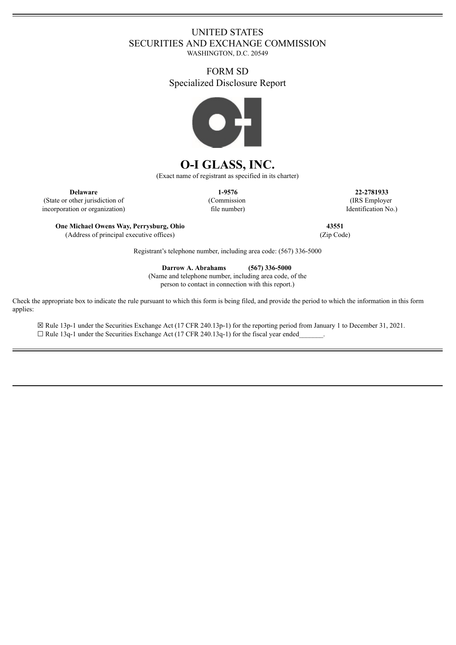## UNITED STATES SECURITIES AND EXCHANGE COMMISSION

WASHINGTON, D.C. 20549

### FORM SD Specialized Disclosure Report



# **O-I GLASS, INC.**

(Exact name of registrant as specified in its charter)

(State or other jurisdiction of incorporation or organization) (Commission file number)

**Delaware 1-9576 22-2781933** (IRS Employer Identification No.)

**One Michael Owens Way, Perrysburg, Ohio 43551** (Address of principal executive offices) (Zip Code)

Registrant's telephone number, including area code: (567) 336-5000

**Darrow A. Abrahams (567) 336-5000**

(Name and telephone number, including area code, of the person to contact in connection with this report.)

Check the appropriate box to indicate the rule pursuant to which this form is being filed, and provide the period to which the information in this form applies:

☒ Rule 13p-1 under the Securities Exchange Act (17 CFR 240.13p-1) for the reporting period from January 1 to December 31, 2021.  $\Box$  Rule 13q-1 under the Securities Exchange Act (17 CFR 240.13q-1) for the fiscal year ended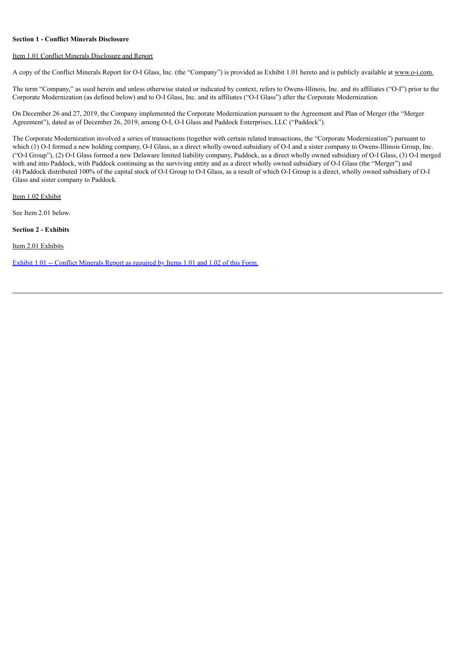#### **Section 1 - Conflict Minerals Disclosure**

#### Item 1.01 Conflict Minerals Disclosure and Report

A copy of the Conflict Minerals Report for O-I Glass, Inc. (the "Company") is provided as Exhibit 1.01 hereto and is publicly available at www.o-i.com.

The term "Company," as used herein and unless otherwise stated or indicated by context, refers to Owens-Illinois, Inc. and its affiliates ("O-I") prior to the Corporate Modernization (as defined below) and to O-I Glass, Inc. and its affiliates ("O-I Glass") after the Corporate Modernization.

On December 26 and 27, 2019, the Company implemented the Corporate Modernization pursuant to the Agreement and Plan of Merger (the "Merger Agreement"), dated as of December 26, 2019, among O-I, O-I Glass and Paddock Enterprises, LLC ("Paddock").

The Corporate Modernization involved a series of transactions (together with certain related transactions, the "Corporate Modernization") pursuant to which (1) O-I formed a new holding company, O-I Glass, as a direct wholly owned subsidiary of O-I and a sister company to Owens-Illinois Group, Inc. ("O-I Group"), (2) O-I Glass formed a new Delaware limited liability company, Paddock, as a direct wholly owned subsidiary of O-I Glass, (3) O-I merged with and into Paddock, with Paddock continuing as the surviving entity and as a direct wholly owned subsidiary of O-I Glass (the "Merger") and (4) Paddock distributed 100% of the capital stock of O-I Group to O-I Glass, as a result of which O-I Group is a direct, wholly owned subsidiary of O-I Glass and sister company to Paddock.

Item 1.02 Exhibit

See Item 2.01 below.

**Section 2 - Exhibits**

Item 2.01 Exhibits

Exhibit 1.01 -- Conflict [Minerals](#page-3-0) Report as required by Items 1.01 and 1.02 of this Form.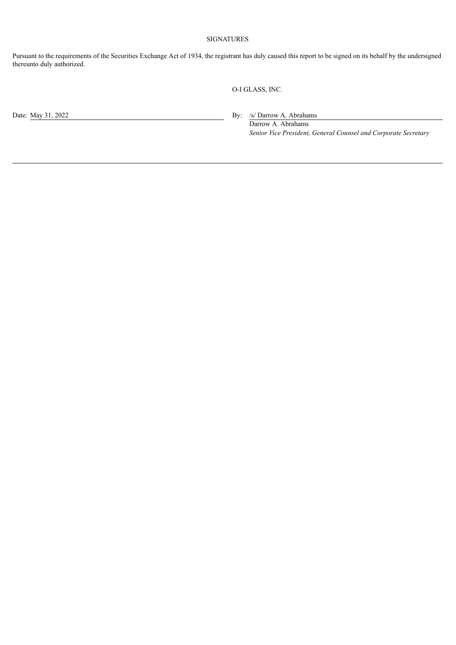#### SIGNATURES

Pursuant to the requirements of the Securities Exchange Act of 1934, the registrant has duly caused this report to be signed on its behalf by the undersigned thereunto duly authorized.

O-I GLASS, INC.

Date: May 31, 2022 By: /s/ Darrow A. Abrahams

Darrow A. Abrahams *Senior Vice President, General Counsel and Corporate Secretary*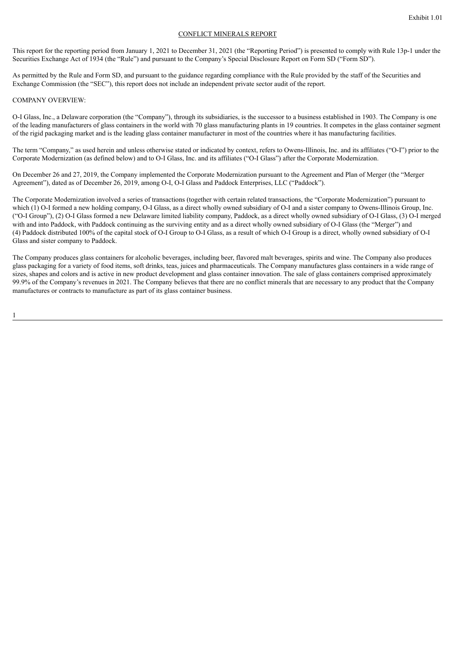#### CONFLICT MINERALS REPORT

<span id="page-3-0"></span>This report for the reporting period from January 1, 2021 to December 31, 2021 (the "Reporting Period") is presented to comply with Rule 13p-1 under the Securities Exchange Act of 1934 (the "Rule") and pursuant to the Company's Special Disclosure Report on Form SD ("Form SD").

As permitted by the Rule and Form SD, and pursuant to the guidance regarding compliance with the Rule provided by the staff of the Securities and Exchange Commission (the "SEC"), this report does not include an independent private sector audit of the report.

#### COMPANY OVERVIEW:

O-I Glass, Inc., a Delaware corporation (the "Company"), through its subsidiaries, is the successor to a business established in 1903. The Company is one of the leading manufacturers of glass containers in the world with 70 glass manufacturing plants in 19 countries. It competes in the glass container segment of the rigid packaging market and is the leading glass container manufacturer in most of the countries where it has manufacturing facilities.

The term "Company," as used herein and unless otherwise stated or indicated by context, refers to Owens-Illinois, Inc. and its affiliates ("O-I") prior to the Corporate Modernization (as defined below) and to O-I Glass, Inc. and its affiliates ("O-I Glass") after the Corporate Modernization.

On December 26 and 27, 2019, the Company implemented the Corporate Modernization pursuant to the Agreement and Plan of Merger (the "Merger Agreement"), dated as of December 26, 2019, among O-I, O-I Glass and Paddock Enterprises, LLC ("Paddock").

The Corporate Modernization involved a series of transactions (together with certain related transactions, the "Corporate Modernization") pursuant to which (1) O-I formed a new holding company, O-I Glass, as a direct wholly owned subsidiary of O-I and a sister company to Owens-Illinois Group, Inc. ("O-I Group"), (2) O-I Glass formed a new Delaware limited liability company, Paddock, as a direct wholly owned subsidiary of O-I Glass, (3) O-I merged with and into Paddock, with Paddock continuing as the surviving entity and as a direct wholly owned subsidiary of O-I Glass (the "Merger") and (4) Paddock distributed 100% of the capital stock of O-I Group to O-I Glass, as a result of which O-I Group is a direct, wholly owned subsidiary of O-I Glass and sister company to Paddock.

The Company produces glass containers for alcoholic beverages, including beer, flavored malt beverages, spirits and wine. The Company also produces glass packaging for a variety of food items, soft drinks, teas, juices and pharmaceuticals. The Company manufactures glass containers in a wide range of sizes, shapes and colors and is active in new product development and glass container innovation. The sale of glass containers comprised approximately 99.9% of the Company's revenues in 2021. The Company believes that there are no conflict minerals that are necessary to any product that the Company manufactures or contracts to manufacture as part of its glass container business.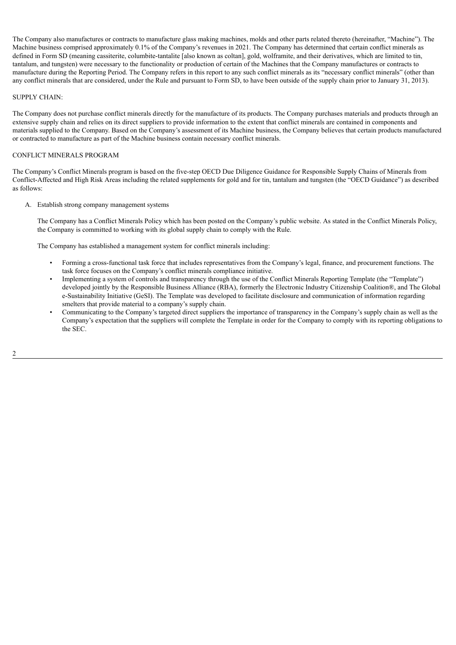The Company also manufactures or contracts to manufacture glass making machines, molds and other parts related thereto (hereinafter, "Machine"). The Machine business comprised approximately 0.1% of the Company's revenues in 2021. The Company has determined that certain conflict minerals as defined in Form SD (meaning cassiterite, columbite-tantalite [also known as coltan], gold, wolframite, and their derivatives, which are limited to tin, tantalum, and tungsten) were necessary to the functionality or production of certain of the Machines that the Company manufactures or contracts to manufacture during the Reporting Period. The Company refers in this report to any such conflict minerals as its "necessary conflict minerals" (other than any conflict minerals that are considered, under the Rule and pursuant to Form SD, to have been outside of the supply chain prior to January 31, 2013).

#### SUPPLY CHAIN:

The Company does not purchase conflict minerals directly for the manufacture of its products. The Company purchases materials and products through an extensive supply chain and relies on its direct suppliers to provide information to the extent that conflict minerals are contained in components and materials supplied to the Company. Based on the Company's assessment of its Machine business, the Company believes that certain products manufactured or contracted to manufacture as part of the Machine business contain necessary conflict minerals.

#### CONFLICT MINERALS PROGRAM

The Company's Conflict Minerals program is based on the five-step OECD Due Diligence Guidance for Responsible Supply Chains of Minerals from Conflict-Affected and High Risk Areas including the related supplements for gold and for tin, tantalum and tungsten (the "OECD Guidance") as described as follows:

A. Establish strong company management systems

The Company has a Conflict Minerals Policy which has been posted on the Company's public website. As stated in the Conflict Minerals Policy, the Company is committed to working with its global supply chain to comply with the Rule.

The Company has established a management system for conflict minerals including:

- Forming a cross-functional task force that includes representatives from the Company's legal, finance, and procurement functions. The task force focuses on the Company's conflict minerals compliance initiative.
- Implementing a system of controls and transparency through the use of the Conflict Minerals Reporting Template (the "Template") developed jointly by the Responsible Business Alliance (RBA), formerly the Electronic Industry Citizenship Coalition®, and The Global e-Sustainability Initiative (GeSI). The Template was developed to facilitate disclosure and communication of information regarding smelters that provide material to a company's supply chain.
- Communicating to the Company's targeted direct suppliers the importance of transparency in the Company's supply chain as well as the Company's expectation that the suppliers will complete the Template in order for the Company to comply with its reporting obligations to the SEC.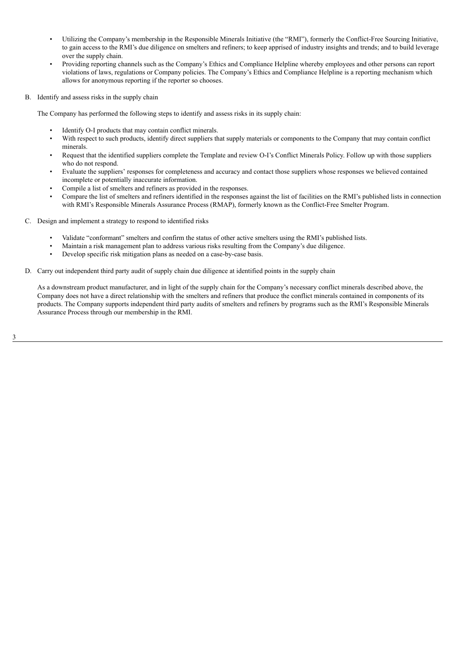- Utilizing the Company's membership in the Responsible Minerals Initiative (the "RMI"), formerly the Conflict-Free Sourcing Initiative, to gain access to the RMI's due diligence on smelters and refiners; to keep apprised of industry insights and trends; and to build leverage over the supply chain.
- Providing reporting channels such as the Company's Ethics and Compliance Helpline whereby employees and other persons can report violations of laws, regulations or Company policies. The Company's Ethics and Compliance Helpline is a reporting mechanism which allows for anonymous reporting if the reporter so chooses.
- B. Identify and assess risks in the supply chain

The Company has performed the following steps to identify and assess risks in its supply chain:

- Identify O-I products that may contain conflict minerals.
- With respect to such products, identify direct suppliers that supply materials or components to the Company that may contain conflict minerals.
- Request that the identified suppliers complete the Template and review O-I's Conflict Minerals Policy. Follow up with those suppliers who do not respond.
- Evaluate the suppliers' responses for completeness and accuracy and contact those suppliers whose responses we believed contained incomplete or potentially inaccurate information.
- Compile a list of smelters and refiners as provided in the responses.
- Compare the list of smelters and refiners identified in the responses against the list of facilities on the RMI's published lists in connection with RMI's Responsible Minerals Assurance Process (RMAP), formerly known as the Conflict-Free Smelter Program.
- C. Design and implement a strategy to respond to identified risks
	- Validate "conformant" smelters and confirm the status of other active smelters using the RMI's published lists.
	- Maintain a risk management plan to address various risks resulting from the Company's due diligence.
	- Develop specific risk mitigation plans as needed on a case-by-case basis.
- D. Carry out independent third party audit of supply chain due diligence at identified points in the supply chain

As a downstream product manufacturer, and in light of the supply chain for the Company's necessary conflict minerals described above, the Company does not have a direct relationship with the smelters and refiners that produce the conflict minerals contained in components of its products. The Company supports independent third party audits of smelters and refiners by programs such as the RMI's Responsible Minerals Assurance Process through our membership in the RMI.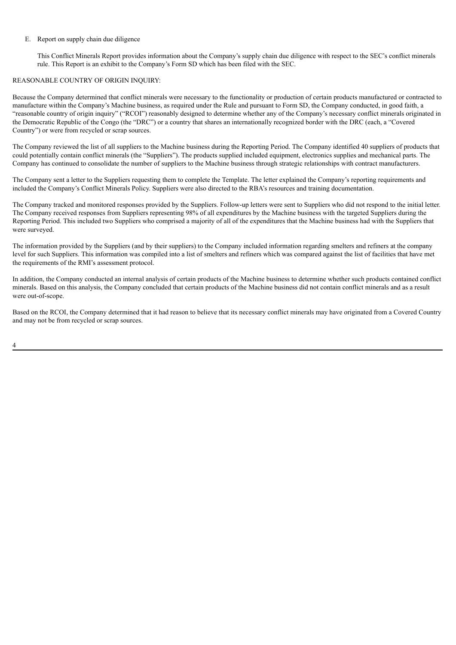#### E. Report on supply chain due diligence

This Conflict Minerals Report provides information about the Company's supply chain due diligence with respect to the SEC's conflict minerals rule. This Report is an exhibit to the Company's Form SD which has been filed with the SEC.

#### REASONABLE COUNTRY OF ORIGIN INQUIRY:

Because the Company determined that conflict minerals were necessary to the functionality or production of certain products manufactured or contracted to manufacture within the Company's Machine business, as required under the Rule and pursuant to Form SD, the Company conducted, in good faith, a "reasonable country of origin inquiry" ("RCOI") reasonably designed to determine whether any of the Company's necessary conflict minerals originated in the Democratic Republic of the Congo (the "DRC") or a country that shares an internationally recognized border with the DRC (each, a "Covered Country") or were from recycled or scrap sources.

The Company reviewed the list of all suppliers to the Machine business during the Reporting Period. The Company identified 40 suppliers of products that could potentially contain conflict minerals (the "Suppliers"). The products supplied included equipment, electronics supplies and mechanical parts. The Company has continued to consolidate the number of suppliers to the Machine business through strategic relationships with contract manufacturers.

The Company sent a letter to the Suppliers requesting them to complete the Template. The letter explained the Company's reporting requirements and included the Company's Conflict Minerals Policy. Suppliers were also directed to the RBA's resources and training documentation.

The Company tracked and monitored responses provided by the Suppliers. Follow-up letters were sent to Suppliers who did not respond to the initial letter. The Company received responses from Suppliers representing 98% of all expenditures by the Machine business with the targeted Suppliers during the Reporting Period. This included two Suppliers who comprised a majority of all of the expenditures that the Machine business had with the Suppliers that were surveyed.

The information provided by the Suppliers (and by their suppliers) to the Company included information regarding smelters and refiners at the company level for such Suppliers. This information was compiled into a list of smelters and refiners which was compared against the list of facilities that have met the requirements of the RMI's assessment protocol.

In addition, the Company conducted an internal analysis of certain products of the Machine business to determine whether such products contained conflict minerals. Based on this analysis, the Company concluded that certain products of the Machine business did not contain conflict minerals and as a result were out-of-scope.

Based on the RCOI, the Company determined that it had reason to believe that its necessary conflict minerals may have originated from a Covered Country and may not be from recycled or scrap sources.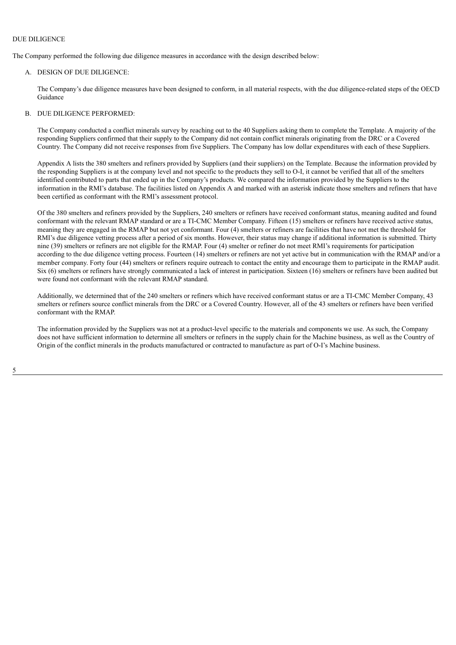#### DUE DILIGENCE

The Company performed the following due diligence measures in accordance with the design described below:

#### A. DESIGN OF DUE DILIGENCE:

The Company's due diligence measures have been designed to conform, in all material respects, with the due diligence-related steps of the OECD Guidance

#### B. DUE DILIGENCE PERFORMED:

The Company conducted a conflict minerals survey by reaching out to the 40 Suppliers asking them to complete the Template. A majority of the responding Suppliers confirmed that their supply to the Company did not contain conflict minerals originating from the DRC or a Covered Country. The Company did not receive responses from five Suppliers. The Company has low dollar expenditures with each of these Suppliers.

Appendix A lists the 380 smelters and refiners provided by Suppliers (and their suppliers) on the Template. Because the information provided by the responding Suppliers is at the company level and not specific to the products they sell to O-I, it cannot be verified that all of the smelters identified contributed to parts that ended up in the Company's products. We compared the information provided by the Suppliers to the information in the RMI's database. The facilities listed on Appendix A and marked with an asterisk indicate those smelters and refiners that have been certified as conformant with the RMI's assessment protocol.

Of the 380 smelters and refiners provided by the Suppliers, 240 smelters or refiners have received conformant status, meaning audited and found conformant with the relevant RMAP standard or are a TI-CMC Member Company. Fifteen (15) smelters or refiners have received active status, meaning they are engaged in the RMAP but not yet conformant. Four (4) smelters or refiners are facilities that have not met the threshold for RMI's due diligence vetting process after a period of six months. However, their status may change if additional information is submitted. Thirty nine (39) smelters or refiners are not eligible for the RMAP. Four (4) smelter or refiner do not meet RMI's requirements for participation according to the due diligence vetting process. Fourteen (14) smelters or refiners are not yet active but in communication with the RMAP and/or a member company. Forty four (44) smelters or refiners require outreach to contact the entity and encourage them to participate in the RMAP audit. Six (6) smelters or refiners have strongly communicated a lack of interest in participation. Sixteen (16) smelters or refiners have been audited but were found not conformant with the relevant RMAP standard.

Additionally, we determined that of the 240 smelters or refiners which have received conformant status or are a TI-CMC Member Company, 43 smelters or refiners source conflict minerals from the DRC or a Covered Country. However, all of the 43 smelters or refiners have been verified conformant with the RMAP.

The information provided by the Suppliers was not at a product-level specific to the materials and components we use. As such, the Company does not have sufficient information to determine all smelters or refiners in the supply chain for the Machine business, as well as the Country of Origin of the conflict minerals in the products manufactured or contracted to manufacture as part of O-I's Machine business.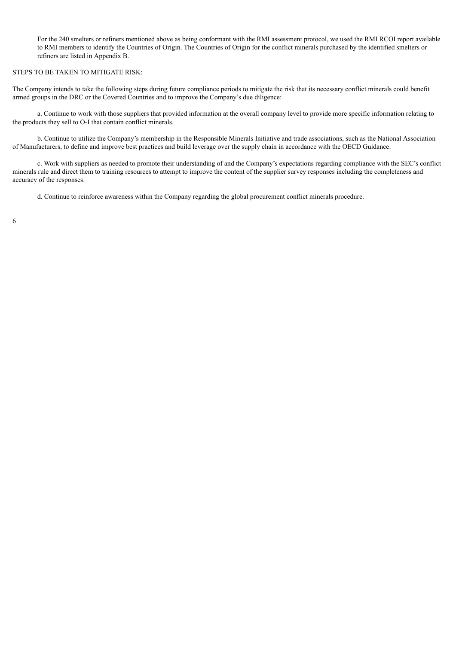For the 240 smelters or refiners mentioned above as being conformant with the RMI assessment protocol, we used the RMI RCOI report available to RMI members to identify the Countries of Origin. The Countries of Origin for the conflict minerals purchased by the identified smelters or refiners are listed in Appendix B.

#### STEPS TO BE TAKEN TO MITIGATE RISK:

The Company intends to take the following steps during future compliance periods to mitigate the risk that its necessary conflict minerals could benefit armed groups in the DRC or the Covered Countries and to improve the Company's due diligence:

a. Continue to work with those suppliers that provided information at the overall company level to provide more specific information relating to the products they sell to O-I that contain conflict minerals.

b. Continue to utilize the Company's membership in the Responsible Minerals Initiative and trade associations, such as the National Association of Manufacturers, to define and improve best practices and build leverage over the supply chain in accordance with the OECD Guidance.

c. Work with suppliers as needed to promote their understanding of and the Company's expectations regarding compliance with the SEC's conflict minerals rule and direct them to training resources to attempt to improve the content of the supplier survey responses including the completeness and accuracy of the responses.

d. Continue to reinforce awareness within the Company regarding the global procurement conflict minerals procedure.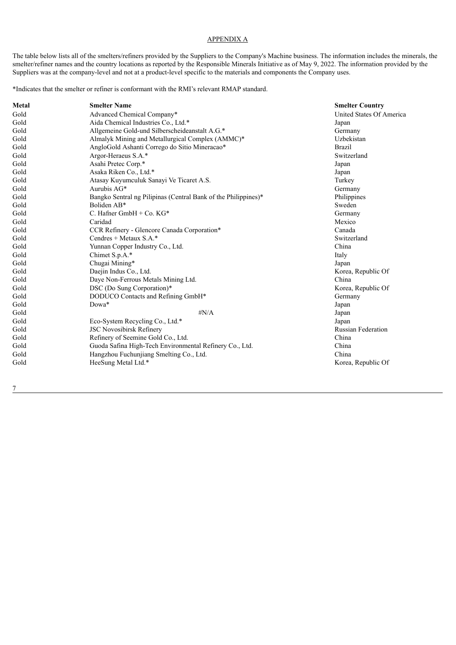#### APPENDIX A

The table below lists all of the smelters/refiners provided by the Suppliers to the Company's Machine business. The information includes the minerals, the smelter/refiner names and the country locations as reported by the Responsible Minerals Initiative as of May 9, 2022. The information provided by the Suppliers was at the company-level and not at a product-level specific to the materials and components the Company uses.

\*Indicates that the smelter or refiner is conformant with the RMI's relevant RMAP standard.

| Metal | <b>Smelter Name</b>                                            | <b>Smelter Country</b>    |
|-------|----------------------------------------------------------------|---------------------------|
| Gold  | Advanced Chemical Company*                                     | United States Of America  |
| Gold  | Aida Chemical Industries Co., Ltd.*                            | Japan                     |
| Gold  | Allgemeine Gold-und Silberscheideanstalt A.G.*                 | Germany                   |
| Gold  | Almalyk Mining and Metallurgical Complex (AMMC)*               | Uzbekistan                |
| Gold  | AngloGold Ashanti Corrego do Sitio Mineracao*                  | <b>Brazil</b>             |
| Gold  | Argor-Heraeus S.A.*                                            | Switzerland               |
| Gold  | Asahi Pretec Corp.*                                            | Japan                     |
| Gold  | Asaka Riken Co., Ltd.*                                         | Japan                     |
| Gold  | Atasay Kuyumculuk Sanayi Ve Ticaret A.S.                       | Turkey                    |
| Gold  | Aurubis AG*                                                    | Germany                   |
| Gold  | Bangko Sentral ng Pilipinas (Central Bank of the Philippines)* | Philippines               |
| Gold  | Boliden AB*                                                    | Sweden                    |
| Gold  | C. Hafner GmbH $+$ Co. KG*                                     | Germany                   |
| Gold  | Caridad                                                        | Mexico                    |
| Gold  | CCR Refinery - Glencore Canada Corporation*                    | Canada                    |
| Gold  | Cendres + Metaux $S.A.*$                                       | Switzerland               |
| Gold  | Yunnan Copper Industry Co., Ltd.                               | China                     |
| Gold  | Chimet S.p.A.*                                                 | Italy                     |
| Gold  | Chugai Mining*                                                 | Japan                     |
| Gold  | Daejin Indus Co., Ltd.                                         | Korea, Republic Of        |
| Gold  | Daye Non-Ferrous Metals Mining Ltd.                            | China                     |
| Gold  | DSC (Do Sung Corporation)*                                     | Korea, Republic Of        |
| Gold  | DODUCO Contacts and Refining GmbH*                             | Germany                   |
| Gold  | Dowa*                                                          | Japan                     |
| Gold  | $\sharp N/A$                                                   | Japan                     |
| Gold  | Eco-System Recycling Co., Ltd.*                                | Japan                     |
| Gold  | <b>JSC Novosibirsk Refinery</b>                                | <b>Russian Federation</b> |
| Gold  | Refinery of Seemine Gold Co., Ltd.                             | China                     |
| Gold  | Guoda Safina High-Tech Environmental Refinery Co., Ltd.        | China                     |
| Gold  | Hangzhou Fuchunjiang Smelting Co., Ltd.                        | China                     |
| Gold  | HeeSung Metal Ltd.*                                            | Korea, Republic Of        |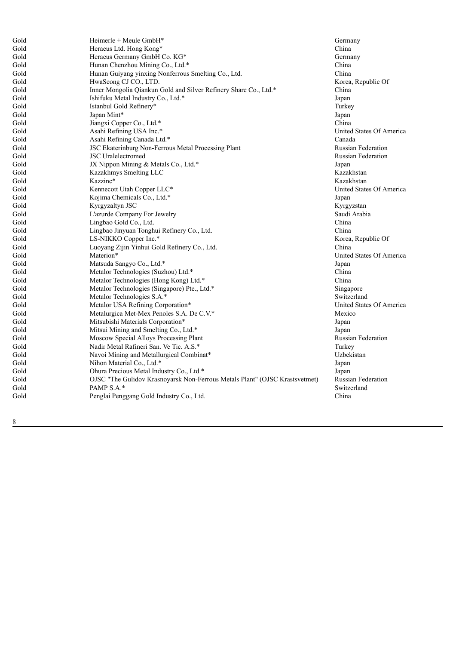| Gold | Heimerle + Meule GmbH*                                                      | Germany                   |
|------|-----------------------------------------------------------------------------|---------------------------|
| Gold | Heraeus Ltd. Hong Kong*                                                     | China                     |
| Gold | Heraeus Germany GmbH Co. KG*                                                | Germany                   |
| Gold | Hunan Chenzhou Mining Co., Ltd.*                                            | China                     |
| Gold | Hunan Guiyang yinxing Nonferrous Smelting Co., Ltd.                         | China                     |
| Gold | HwaSeong CJ CO., LTD.                                                       | Korea, Republic Of        |
| Gold | Inner Mongolia Qiankun Gold and Silver Refinery Share Co., Ltd.*            | China                     |
| Gold | Ishifuku Metal Industry Co., Ltd.*                                          | Japan                     |
| Gold | Istanbul Gold Refinery*                                                     | Turkey                    |
| Gold | Japan Mint*                                                                 | Japan                     |
| Gold | Jiangxi Copper Co., Ltd.*                                                   | China                     |
| Gold | Asahi Refining USA Inc.*                                                    | United States Of America  |
| Gold | Asahi Refining Canada Ltd.*                                                 | Canada                    |
| Gold | JSC Ekaterinburg Non-Ferrous Metal Processing Plant                         | <b>Russian Federation</b> |
| Gold | <b>JSC</b> Uralelectromed                                                   | <b>Russian Federation</b> |
| Gold | JX Nippon Mining & Metals Co., Ltd.*                                        | Japan                     |
| Gold | Kazakhmys Smelting LLC                                                      | Kazakhstan                |
| Gold | Kazzinc*                                                                    | Kazakhstan                |
| Gold | Kennecott Utah Copper LLC*                                                  | United States Of America  |
| Gold | Kojima Chemicals Co., Ltd.*                                                 | Japan                     |
| Gold | Kyrgyzaltyn JSC                                                             | Kyrgyzstan                |
| Gold | L'azurde Company For Jewelry                                                | Saudi Arabia              |
| Gold | Lingbao Gold Co., Ltd.                                                      | China                     |
| Gold | Lingbao Jinyuan Tonghui Refinery Co., Ltd.                                  | China                     |
| Gold | LS-NIKKO Copper Inc.*                                                       | Korea, Republic Of        |
| Gold | Luoyang Zijin Yinhui Gold Refinery Co., Ltd.                                | China                     |
| Gold | Materion*                                                                   | United States Of America  |
| Gold | Matsuda Sangyo Co., Ltd.*                                                   | Japan                     |
| Gold | Metalor Technologies (Suzhou) Ltd.*                                         | China                     |
| Gold | Metalor Technologies (Hong Kong) Ltd.*                                      | China                     |
| Gold | Metalor Technologies (Singapore) Pte., Ltd.*                                | Singapore                 |
| Gold | Metalor Technologies S.A.*                                                  | Switzerland               |
| Gold | Metalor USA Refining Corporation*                                           | United States Of America  |
| Gold | Metalurgica Met-Mex Penoles S.A. De C.V.*                                   | Mexico                    |
| Gold | Mitsubishi Materials Corporation*                                           | Japan                     |
| Gold | Mitsui Mining and Smelting Co., Ltd.*                                       | Japan                     |
| Gold | Moscow Special Alloys Processing Plant                                      | <b>Russian Federation</b> |
| Gold | Nadir Metal Rafineri San. Ve Tic. A.S.*                                     | Turkey                    |
| Gold | Navoi Mining and Metallurgical Combinat*                                    | Uzbekistan                |
| Gold | Nihon Material Co., Ltd.*                                                   | Japan                     |
| Gold | Ohura Precious Metal Industry Co., Ltd.*                                    | Japan                     |
| Gold | OJSC "The Gulidov Krasnoyarsk Non-Ferrous Metals Plant" (OJSC Krastsvetmet) | <b>Russian Federation</b> |
| Gold | PAMP S.A.*                                                                  | Switzerland               |
| Gold | Penglai Penggang Gold Industry Co., Ltd.                                    | China                     |
|      |                                                                             |                           |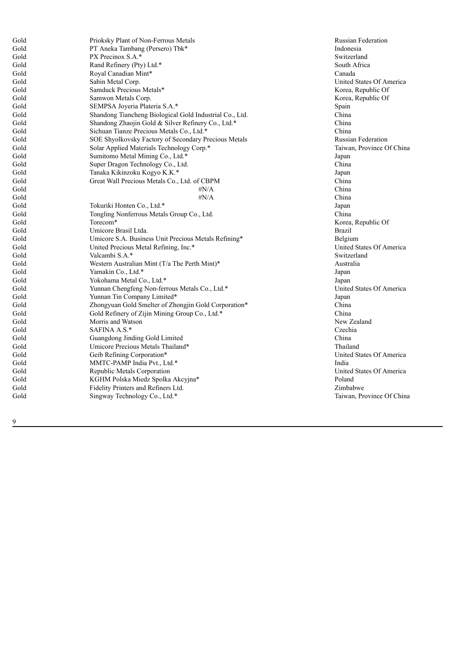| Gold | Prioksky Plant of Non-Ferrous Metals                    | Ru             |
|------|---------------------------------------------------------|----------------|
| Gold | PT Aneka Tambang (Persero) Tbk*                         | In             |
| Gold | PX Precinox S.A.*                                       | Sw             |
| Gold | Rand Refinery (Pty) Ltd.*                               | So             |
| Gold | Royal Canadian Mint*                                    | Ca             |
| Gold | Sabin Metal Corp.                                       | Ur             |
| Gold | Samduck Precious Metals*                                | K              |
| Gold | Samwon Metals Corp.                                     | Ko             |
| Gold | SEMPSA Joyeria Plateria S.A.*                           | Sp             |
| Gold | Shandong Tiancheng Biological Gold Industrial Co., Ltd. | Ch             |
| Gold | Shandong Zhaojin Gold & Silver Refinery Co., Ltd.*      | Ch             |
| Gold | Sichuan Tianze Precious Metals Co., Ltd.*               | <b>Ch</b>      |
| Gold | SOE Shyolkovsky Factory of Secondary Precious Metals    | Ru             |
| Gold | Solar Applied Materials Technology Corp.*               | Ta             |
| Gold | Sumitomo Metal Mining Co., Ltd.*                        | Jap            |
| Gold | Super Dragon Technology Co., Ltd.                       | Ch             |
| Gold | Tanaka Kikinzoku Kogyo K.K.*                            | Jap            |
| Gold | Great Wall Precious Metals Co., Ltd. of CBPM            | Ch             |
| Gold | $\sharp N/A$                                            | C <sub>h</sub> |
| Gold | $\sharp N/A$                                            | Ch             |
| Gold | Tokuriki Honten Co., Ltd.*                              | Jap            |
| Gold | Tongling Nonferrous Metals Group Co., Ltd.              | <b>Ch</b>      |
| Gold | Torecom*                                                | Kς             |
| Gold | Umicore Brasil Ltda.                                    | Br             |
| Gold | Umicore S.A. Business Unit Precious Metals Refining*    | Be             |
| Gold | United Precious Metal Refining, Inc.*                   | Ur             |
| Gold | Valcambi S.A.*                                          | Sw             |
| Gold | Western Australian Mint (T/a The Perth Mint)*           | Aι             |
| Gold | Yamakin Co., Ltd.*                                      | Jap            |
| Gold | Yokohama Metal Co., Ltd.*                               | Jap            |
| Gold | Yunnan Chengfeng Non-ferrous Metals Co., Ltd.*          | Ur             |
| Gold | Yunnan Tin Company Limited*                             | Jap            |
| Gold | Zhongyuan Gold Smelter of Zhongjin Gold Corporation*    | Ch             |
| Gold | Gold Refinery of Zijin Mining Group Co., Ltd.*          | C <sub>h</sub> |
| Gold | Morris and Watson                                       | N <sub>6</sub> |
| Gold | SAFINA A.S.*                                            | Cz             |
| Gold | Guangdong Jinding Gold Limited                          | Ch             |
| Gold | Umicore Precious Metals Thailand*                       | Th             |
| Gold | Geib Refining Corporation*                              | Ur             |
| Gold | MMTC-PAMP India Pvt., Ltd.*                             | In             |
| Gold | Republic Metals Corporation                             | Ur             |
| Gold | KGHM Polska Miedz Spolka Akcyjna*                       | Po             |
| Gold | Fidelity Printers and Refiners Ltd.                     | Zii            |
| Gold | Singway Technology Co., Ltd.*                           | Ta             |
|      |                                                         |                |

Russian Federation Indonesia Switzerland South Africa Canada nited States Of America Korea, Republic Of orea, Republic Of Spain h i n a China China Russian Federation Taiwan, Province Of China **Japan** h i n a **Japan** China China China **Japan** h i n a Korea, Republic Of r a z i l Belgium United States Of America Switzerland Australia **Japan Japan** United States Of America **Japan** China China New Zealand Czechia China Thailand United States Of America I n d i a United States Of America Poland imbabwe Taiwan, Province Of China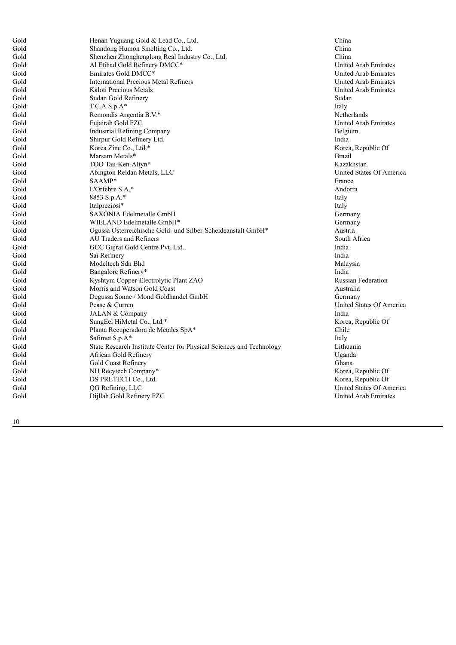| Gold | Henan Yuguang Gold & Lead Co., Ltd.                                  | <b>Ch</b>      |
|------|----------------------------------------------------------------------|----------------|
| Gold | Shandong Humon Smelting Co., Ltd.                                    | Ch             |
| Gold | Shenzhen Zhonghenglong Real Industry Co., Ltd.                       | Ch             |
| Gold | Al Etihad Gold Refinery DMCC*                                        | Ur             |
| Gold | Emirates Gold DMCC*                                                  | Ur             |
| Gold | <b>International Precious Metal Refiners</b>                         | Ur             |
| Gold | Kaloti Precious Metals                                               | Ur             |
| Gold | Sudan Gold Refinery                                                  | Su             |
| Gold | $T.C.A S.p.A*$                                                       | Ita            |
| Gold | Remondis Argentia B.V.*                                              | N <sub>6</sub> |
| Gold | Fujairah Gold FZC                                                    | Ur             |
| Gold | <b>Industrial Refining Company</b>                                   | Be             |
| Gold | Shirpur Gold Refinery Ltd.                                           | Ino            |
| Gold | Korea Zinc Co., Ltd.*                                                | K              |
| Gold | Marsam Metals*                                                       | Br             |
| Gold | TOO Tau-Ken-Altyn*                                                   | Ka             |
| Gold | Abington Reldan Metals, LLC                                          | Ur             |
| Gold | SAAMP*                                                               | Fra            |
| Gold | L'Orfebre $S.A.*$                                                    | Ar             |
| Gold | 8853 S.p.A.*                                                         | Ita            |
| Gold | Italpreziosi*                                                        | Ita            |
| Gold | SAXONIA Edelmetalle GmbH                                             | Gε             |
| Gold | WIELAND Edelmetalle GmbH*                                            | Ge             |
| Gold | Ogussa Osterreichische Gold- und Silber-Scheideanstalt GmbH*         | Aι             |
| Gold | AU Traders and Refiners                                              | So             |
| Gold | GCC Gujrat Gold Centre Pvt. Ltd.                                     | Ino            |
| Gold | Sai Refinery                                                         | Inc            |
| Gold | Modeltech Sdn Bhd                                                    | M              |
| Gold | Bangalore Refinery*                                                  | Ino            |
| Gold | Kyshtym Copper-Electrolytic Plant ZAO                                | Ru             |
| Gold | Morris and Watson Gold Coast                                         | Aι             |
| Gold | Degussa Sonne / Mond Goldhandel GmbH                                 | $G\epsilon$    |
| Gold | Pease & Curren                                                       | Ur             |
| Gold | JALAN & Company                                                      | Inc            |
| Gold | SungEel HiMetal Co., Ltd.*                                           | K              |
| Gold | Planta Recuperadora de Metales SpA*                                  | Ch             |
| Gold | Safimet S.p.A*                                                       | Ita            |
| Gold | State Research Institute Center for Physical Sciences and Technology | Lit            |
| Gold | African Gold Refinery                                                | $U_{\xi}$      |
| Gold | Gold Coast Refinery                                                  | Gł             |
| Gold | NH Recytech Company*                                                 | K              |
| Gold | DS PRETECH Co., Ltd.                                                 | K              |
| Gold | QG Refining, LLC                                                     | Ur             |
| Gold | Dijllah Gold Refinery FZC                                            | Ur             |
|      |                                                                      |                |

h i n a h i n a h i n a United Arab Emirates United Arab Emirates United Arab Emirates United Arab Emirates Sudan Italy Netherlands United Arab Emirates Belgium n d i a Korea, Republic Of **Brazil** Kazakhstan United States Of America France Andorra Italy Italy Germany Germany Austria South Africa n d i a I n d i a Malaysia I n d i a Russian Federation Australia Germany United States Of America I n d i a Korea, Republic Of Chile Italy Lithuania Uganda Ghana Korea, Republic Of orea, Republic Of United States Of America United Arab Emirates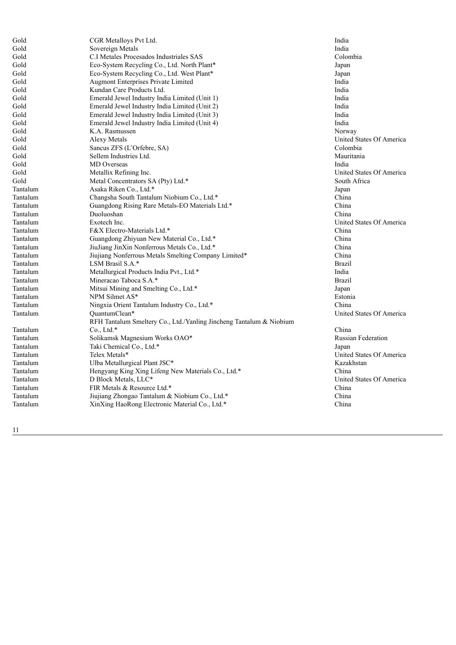| Gold     | CGR Metalloys Pvt Ltd.                                              | India                     |
|----------|---------------------------------------------------------------------|---------------------------|
| Gold     | Sovereign Metals                                                    | India                     |
| Gold     | C.I Metales Procesados Industriales SAS                             | Colombia                  |
| Gold     | Eco-System Recycling Co., Ltd. North Plant*                         | Japan                     |
| Gold     | Eco-System Recycling Co., Ltd. West Plant*                          | Japan                     |
| Gold     | Augmont Enterprises Private Limited                                 | India                     |
| Gold     | Kundan Care Products Ltd.                                           | India                     |
| Gold     | Emerald Jewel Industry India Limited (Unit 1)                       | India                     |
| Gold     | Emerald Jewel Industry India Limited (Unit 2)                       | India                     |
| Gold     | Emerald Jewel Industry India Limited (Unit 3)                       | India                     |
| Gold     | Emerald Jewel Industry India Limited (Unit 4)                       | India                     |
| Gold     | K.A. Rasmussen                                                      | Norway                    |
| Gold     | Alexy Metals                                                        | United States Of America  |
| Gold     | Sancus ZFS (L'Orfebre, SA)                                          | Colombia                  |
| Gold     | Sellem Industries Ltd.                                              | Mauritania                |
| Gold     | MD Overseas                                                         | India                     |
| Gold     | Metallix Refining Inc.                                              | United States Of America  |
| Gold     | Metal Concentrators SA (Pty) Ltd.*                                  | South Africa              |
| Tantalum | Asaka Riken Co., Ltd.*                                              | Japan                     |
| Tantalum | Changsha South Tantalum Niobium Co., Ltd.*                          | China                     |
| Tantalum | Guangdong Rising Rare Metals-EO Materials Ltd.*                     | China                     |
| Tantalum | Duoluoshan                                                          | China                     |
| Tantalum | Exotech Inc.                                                        | United States Of America  |
| Tantalum | F&X Electro-Materials Ltd.*                                         | China                     |
| Tantalum | Guangdong Zhiyuan New Material Co., Ltd.*                           | China                     |
| Tantalum | JiuJiang JinXin Nonferrous Metals Co., Ltd.*                        | China                     |
| Tantalum | Jiujiang Nonferrous Metals Smelting Company Limited*                | China                     |
| Tantalum | LSM Brasil S.A.*                                                    | <b>Brazil</b>             |
| Tantalum | Metallurgical Products India Pvt., Ltd.*                            | India                     |
| Tantalum | Mineracao Taboca S.A.*                                              | <b>Brazil</b>             |
| Tantalum | Mitsui Mining and Smelting Co., Ltd.*                               | Japan                     |
| Tantalum | NPM Silmet AS*                                                      | Estonia                   |
| Tantalum | Ningxia Orient Tantalum Industry Co., Ltd.*                         | China                     |
| Tantalum | OuantumClean*                                                       | United States Of America  |
|          | RFH Tantalum Smeltery Co., Ltd./Yanling Jincheng Tantalum & Niobium |                           |
| Tantalum | Co., Ltd.*                                                          | China                     |
| Tantalum | Solikamsk Magnesium Works OAO*                                      | <b>Russian Federation</b> |
| Tantalum | Taki Chemical Co., Ltd.*                                            | Japan                     |
| Tantalum | Telex Metals*                                                       | United States Of America  |
| Tantalum | Ulba Metallurgical Plant JSC*                                       | Kazakhstan                |
| Tantalum | Hengyang King Xing Lifeng New Materials Co., Ltd.*                  | China                     |
| Tantalum | D Block Metals, LLC*                                                | United States Of America  |
| Tantalum | FIR Metals & Resource Ltd.*                                         | China                     |
| Tantalum | Jiujiang Zhongao Tantalum & Niobium Co., Ltd.*                      | China                     |
| Tantalum | XinXing HaoRong Electronic Material Co., Ltd.*                      | China                     |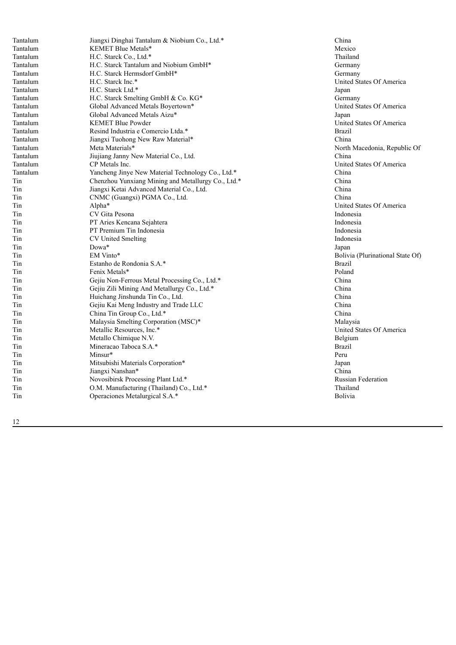| Tantalum | Jiangxi Dinghai Tantalum & Niobium Co., Ltd.*      | Ch             |
|----------|----------------------------------------------------|----------------|
| Tantalum | KEMET Blue Metals*                                 | M              |
| Tantalum | H.C. Starck Co., Ltd.*                             | Th             |
| Tantalum | H.C. Starck Tantalum and Niobium GmbH*             | $G$ $\epsilon$ |
| Tantalum | H.C. Starck Hermsdorf GmbH*                        | Gε             |
| Tantalum | H.C. Starck Inc.*                                  | Ur             |
| Tantalum | H.C. Starck Ltd.*                                  | Jap            |
| Tantalum | H.C. Starck Smelting GmbH & Co. KG*                | Gε             |
| Tantalum | Global Advanced Metals Boyertown*                  | Ur             |
| Tantalum | Global Advanced Metals Aizu*                       | Jap            |
| Tantalum | <b>KEMET Blue Powder</b>                           | Ur             |
| Tantalum | Resind Industria e Comercio Ltda.*                 | Br             |
| Tantalum | Jiangxi Tuohong New Raw Material*                  | C <sub>h</sub> |
| Tantalum | Meta Materials*                                    | No             |
| Tantalum | Jiujiang Janny New Material Co., Ltd.              | Ch             |
| Tantalum | CP Metals Inc.                                     | Ur             |
| Tantalum | Yancheng Jinye New Material Technology Co., Ltd.*  | C <sub>h</sub> |
| Tin      | Chenzhou Yunxiang Mining and Metallurgy Co., Ltd.* | <b>Ch</b>      |
| Tin      | Jiangxi Ketai Advanced Material Co., Ltd.          | <b>Ch</b>      |
| Tin      | CNMC (Guangxi) PGMA Co., Ltd.                      | Ch             |
| Tin      | Alpha*                                             | Ur             |
| Tin      | CV Gita Pesona                                     | In             |
| Tin      | PT Aries Kencana Sejahtera                         | In             |
| Tin      | PT Premium Tin Indonesia                           | In             |
| Tin      | CV United Smelting                                 | In             |
| Tin      | Dowa*                                              | Jap            |
| Tin      | EM Vinto*                                          | Bc             |
| Tin      | Estanho de Rondonia S.A.*                          | Br             |
| Tin      | Fenix Metals*                                      | Po             |
| Tin      | Gejiu Non-Ferrous Metal Processing Co., Ltd.*      | <b>Ch</b>      |
| Tin      | Gejiu Zili Mining And Metallurgy Co., Ltd.*        | <b>Ch</b>      |
| Tin      | Huichang Jinshunda Tin Co., Ltd.                   | C <sub>h</sub> |
| Tin      | Gejiu Kai Meng Industry and Trade LLC              | C <sub>h</sub> |
| Tin      | China Tin Group Co., Ltd.*                         | C <sub>h</sub> |
| Tin      | Malaysia Smelting Corporation (MSC)*               | M              |
| Tin      | Metallic Resources, Inc.*                          | Ur             |
| Tin      | Metallo Chimique N.V.                              | Be             |
| Tin      | Mineracao Taboca S.A.*                             | Br             |
| Tin      | Minsur*                                            | Pe             |
| Tin      | Mitsubishi Materials Corporation*                  | Jap            |
| Tin      | Jiangxi Nanshan*                                   | Ch             |
| Tin      | Novosibirsk Processing Plant Ltd.*                 | Ru             |
| Tin      | O.M. Manufacturing (Thailand) Co., Ltd.*           | Th             |
| Tin      | Operaciones Metalurgical S.A.*                     | Bc             |
|          |                                                    |                |

China Mexico Thailand Germany Germany United States Of America **Japan** Germany United States Of America **Japan** United States Of America **Brazil** China North Macedonia, Republic Of h i n a nited States Of America China China h i n a h i n a United States Of America Indonesia Indonesia Indonesia Indonesia **Japan** Bolivia (Plurinational State Of) **Brazil** Poland China China h i n a China China Malaysia United States Of America elgium **Brazil** Peru **Japan** China Russian Federation Thailand **Bolivia**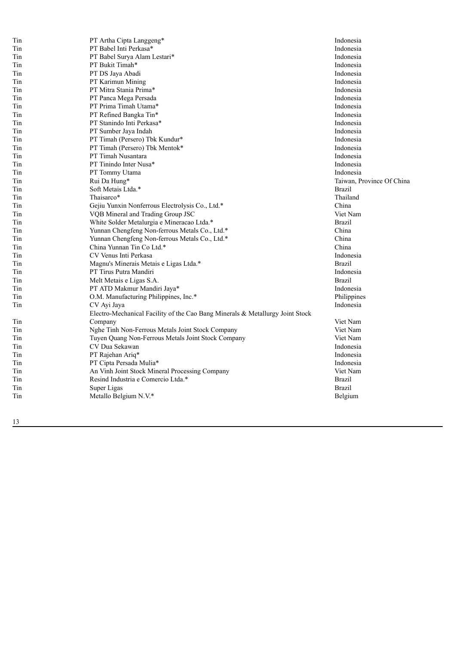| Tin | PT Artha Cipta Langgeng*                                                      | Indonesia                 |
|-----|-------------------------------------------------------------------------------|---------------------------|
| Tin | PT Babel Inti Perkasa*                                                        | Indonesia                 |
| Tin | PT Babel Surya Alam Lestari*                                                  | Indonesia                 |
| Tin | PT Bukit Timah*                                                               | Indonesia                 |
| Tin | PT DS Jaya Abadi                                                              | Indonesia                 |
| Tin | PT Karimun Mining                                                             | Indonesia                 |
| Tin | PT Mitra Stania Prima*                                                        | Indonesia                 |
| Tin | PT Panca Mega Persada                                                         | Indonesia                 |
| Tin | PT Prima Timah Utama*                                                         | Indonesia                 |
| Tin | PT Refined Bangka Tin*                                                        | Indonesia                 |
| Tin | PT Stanindo Inti Perkasa*                                                     | Indonesia                 |
| Tin | PT Sumber Jaya Indah                                                          | Indonesia                 |
| Tin | PT Timah (Persero) Tbk Kundur*                                                | Indonesia                 |
| Tin | PT Timah (Persero) Tbk Mentok*                                                | Indonesia                 |
| Tin | PT Timah Nusantara                                                            | Indonesia                 |
| Tin | PT Tinindo Inter Nusa*                                                        | Indonesia                 |
| Tin | PT Tommy Utama                                                                | Indonesia                 |
| Tin | Rui Da Hung*                                                                  | Taiwan, Province Of China |
| Tin | Soft Metais Ltda.*                                                            | <b>Brazil</b>             |
| Tin | Thaisarco*                                                                    | Thailand                  |
| Tin | Gejiu Yunxin Nonferrous Electrolysis Co., Ltd.*                               | China                     |
| Tin | VQB Mineral and Trading Group JSC                                             | Viet Nam                  |
| Tin | White Solder Metalurgia e Mineracao Ltda.*                                    | <b>Brazil</b>             |
| Tin | Yunnan Chengfeng Non-ferrous Metals Co., Ltd.*                                | China                     |
| Tin | Yunnan Chengfeng Non-ferrous Metals Co., Ltd.*                                | China                     |
| Tin | China Yunnan Tin Co Ltd.*                                                     | China                     |
| Tin | CV Venus Inti Perkasa                                                         | Indonesia                 |
| Tin | Magnu's Minerais Metais e Ligas Ltda.*                                        | <b>Brazil</b>             |
| Tin | PT Tirus Putra Mandiri                                                        | Indonesia                 |
| Tin | Melt Metais e Ligas S.A.                                                      | <b>Brazil</b>             |
| Tin | PT ATD Makmur Mandiri Jaya*                                                   | Indonesia                 |
| Tin | O.M. Manufacturing Philippines, Inc.*                                         | Philippines               |
| Tin | CV Ayi Jaya                                                                   | Indonesia                 |
|     | Electro-Mechanical Facility of the Cao Bang Minerals & Metallurgy Joint Stock |                           |
| Tin | Company                                                                       | Viet Nam                  |
| Tin | Nghe Tinh Non-Ferrous Metals Joint Stock Company                              | Viet Nam                  |
| Tin | Tuyen Quang Non-Ferrous Metals Joint Stock Company                            | Viet Nam                  |
| Tin | CV Dua Sekawan                                                                | Indonesia                 |
| Tin | PT Rajehan Ariq*                                                              | Indonesia                 |
| Tin | PT Cipta Persada Mulia*                                                       | Indonesia                 |
| Tin | An Vinh Joint Stock Mineral Processing Company                                | Viet Nam                  |
| Tin | Resind Industria e Comercio Ltda.*                                            | <b>Brazil</b>             |
| Tin | Super Ligas                                                                   | <b>Brazil</b>             |
| Tin | Metallo Belgium N.V.*                                                         | Belgium                   |
|     |                                                                               |                           |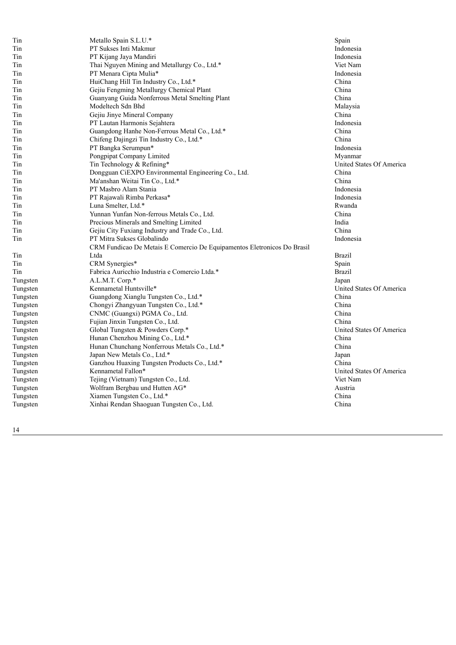| Tin      | Metallo Spain S.L.U.*                                                   | Spain                    |
|----------|-------------------------------------------------------------------------|--------------------------|
| Tin      | PT Sukses Inti Makmur                                                   | Indonesia                |
| Tin      | PT Kijang Jaya Mandiri                                                  | Indonesia                |
| Tin      | Thai Nguyen Mining and Metallurgy Co., Ltd.*                            | Viet Nam                 |
| Tin      | PT Menara Cipta Mulia*                                                  | Indonesia                |
| Tin      | HuiChang Hill Tin Industry Co., Ltd.*                                   | China                    |
| Tin      | Gejiu Fengming Metallurgy Chemical Plant                                | China                    |
| Tin      | Guanyang Guida Nonferrous Metal Smelting Plant                          | China                    |
| Tin      | Modeltech Sdn Bhd                                                       | Malaysia                 |
| Tin      | Gejiu Jinye Mineral Company                                             | China                    |
| Tin      | PT Lautan Harmonis Sejahtera                                            | Indonesia                |
| Tin      | Guangdong Hanhe Non-Ferrous Metal Co., Ltd.*                            | China                    |
| Tin      | Chifeng Dajingzi Tin Industry Co., Ltd.*                                | China                    |
| Tin      | PT Bangka Serumpun*                                                     | Indonesia                |
| Tin      | Pongpipat Company Limited                                               | Myanmar                  |
| Tin      | Tin Technology & Refining*                                              | United States Of America |
| Tin      | Dongguan CiEXPO Environmental Engineering Co., Ltd.                     | China                    |
| Tin      | Ma'anshan Weitai Tin Co., Ltd.*                                         | China                    |
| Tin      | PT Masbro Alam Stania                                                   | Indonesia                |
| Tin      | PT Rajawali Rimba Perkasa*                                              | Indonesia                |
| Tin      | Luna Smelter, Ltd.*                                                     | Rwanda                   |
| Tin      | Yunnan Yunfan Non-ferrous Metals Co., Ltd.                              | China                    |
| Tin      | Precious Minerals and Smelting Limited                                  | India                    |
| Tin      | Gejiu City Fuxiang Industry and Trade Co., Ltd.                         | China                    |
| Tin      | PT Mitra Sukses Globalindo                                              | Indonesia                |
|          | CRM Fundicao De Metais E Comercio De Equipamentos Eletronicos Do Brasil |                          |
| Tin      | Ltda                                                                    | <b>Brazil</b>            |
| Tin      | CRM Synergies*                                                          | Spain                    |
| Tin      | Fabrica Auricchio Industria e Comercio Ltda.*                           | <b>Brazil</b>            |
| Tungsten | A.L.M.T. Corp.*                                                         | Japan                    |
| Tungsten | Kennametal Huntsville*                                                  | United States Of America |
| Tungsten | Guangdong Xianglu Tungsten Co., Ltd.*                                   | China                    |
| Tungsten | Chongyi Zhangyuan Tungsten Co., Ltd.*                                   | China                    |
| Tungsten | CNMC (Guangxi) PGMA Co., Ltd.                                           | China                    |
| Tungsten | Fujian Jinxin Tungsten Co., Ltd.                                        | China                    |
| Tungsten | Global Tungsten & Powders Corp.*                                        | United States Of America |
| Tungsten | Hunan Chenzhou Mining Co., Ltd.*                                        | China                    |
| Tungsten | Hunan Chunchang Nonferrous Metals Co., Ltd.*                            | China                    |
| Tungsten | Japan New Metals Co., Ltd.*                                             | Japan                    |
| Tungsten | Ganzhou Huaxing Tungsten Products Co., Ltd.*                            | China                    |
| Tungsten | Kennametal Fallon*                                                      | United States Of America |
| Tungsten | Tejing (Vietnam) Tungsten Co., Ltd.                                     | Viet Nam                 |
| Tungsten | Wolfram Bergbau und Hutten AG*                                          | Austria                  |
| Tungsten | Xiamen Tungsten Co., Ltd.*                                              | China                    |
| Tungsten | Xinhai Rendan Shaoguan Tungsten Co., Ltd.                               | China                    |
|          |                                                                         |                          |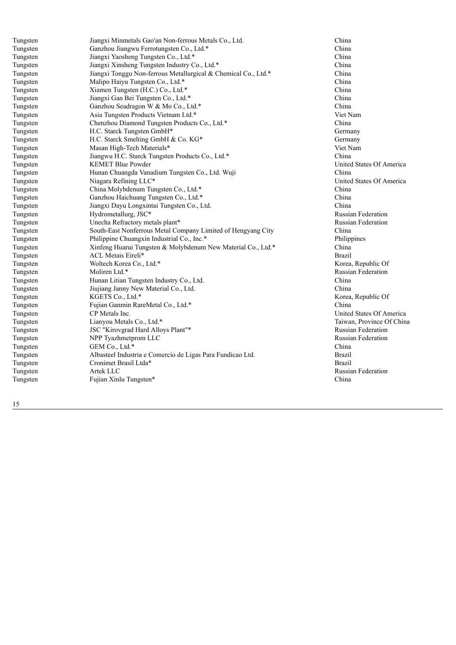| Tungsten | Jiangxi Minmetals Gao'an Non-ferrous Metals Co., Ltd.          | <b>Ch</b>      |
|----------|----------------------------------------------------------------|----------------|
| Tungsten | Ganzhou Jiangwu Ferrotungsten Co., Ltd.*                       | Ch             |
| Tungsten | Jiangxi Yaosheng Tungsten Co., Ltd.*                           | C <sub>h</sub> |
| Tungsten | Jiangxi Xinsheng Tungsten Industry Co., Ltd.*                  | <b>Ch</b>      |
| Tungsten | Jiangxi Tonggu Non-ferrous Metallurgical & Chemical Co., Ltd.* | Ch             |
| Tungsten | Malipo Haiyu Tungsten Co., Ltd.*                               | Ch             |
| Tungsten | Xiamen Tungsten (H.C.) Co., Ltd.*                              | C <sub>h</sub> |
| Tungsten | Jiangxi Gan Bei Tungsten Co., Ltd.*                            | <b>Ch</b>      |
| Tungsten | Ganzhou Seadragon W & Mo Co., Ltd.*                            | Ch             |
| Tungsten | Asia Tungsten Products Vietnam Ltd.*                           | Vi             |
| Tungsten | Chenzhou Diamond Tungsten Products Co., Ltd.*                  | <b>Ch</b>      |
| Tungsten | H.C. Starck Tungsten GmbH*                                     | Ge             |
| Tungsten | H.C. Starck Smelting GmbH & Co. KG*                            | Gε             |
| Tungsten | Masan High-Tech Materials*                                     | Vi             |
| Tungsten | Jiangwu H.C. Starck Tungsten Products Co., Ltd.*               | <b>Ch</b>      |
| Tungsten | <b>KEMET Blue Powder</b>                                       | Ur             |
| Tungsten | Hunan Chuangda Vanadium Tungsten Co., Ltd. Wuji                | <b>Ch</b>      |
| Tungsten | Niagara Refining LLC*                                          | Ur             |
| Tungsten | China Molybdenum Tungsten Co., Ltd.*                           | <b>Ch</b>      |
| Tungsten | Ganzhou Haichuang Tungsten Co., Ltd.*                          | C <sub>h</sub> |
| Tungsten | Jiangxi Dayu Longxintai Tungsten Co., Ltd.                     | Ch             |
| Tungsten | Hydrometallurg, JSC*                                           | Ru             |
| Tungsten | Unecha Refractory metals plant*                                | Ru             |
| Tungsten | South-East Nonferrous Metal Company Limited of Hengyang City   | C <sub>h</sub> |
| Tungsten | Philippine Chuangxin Industrial Co., Inc.*                     | Ph             |
| Tungsten | Xinfeng Huarui Tungsten & Molybdenum New Material Co., Ltd.*   | <b>Ch</b>      |
| Tungsten | <b>ACL Metais Eireli*</b>                                      | Br             |
| Tungsten | Woltech Korea Co., Ltd.*                                       | Ko             |
| Tungsten | Moliren Ltd.*                                                  | Ru             |
| Tungsten | Hunan Litian Tungsten Industry Co., Ltd.                       | <b>Ch</b>      |
| Tungsten | Jiujiang Janny New Material Co., Ltd.                          | C <sub>h</sub> |
| Tungsten | KGETS Co., Ltd.*                                               | Ko             |
| Tungsten | Fujian Ganmin RareMetal Co., Ltd.*                             | <b>Ch</b>      |
| Tungsten | CP Metals Inc.                                                 | Ur             |
| Tungsten | Lianyou Metals Co., Ltd.*                                      | Ta             |
| Tungsten | JSC "Kirovgrad Hard Alloys Plant"*                             | Ru             |
| Tungsten | NPP Tyazhmetprom LLC                                           | Ru             |
| Tungsten | GEM Co., Ltd.*                                                 | Ch             |
| Tungsten | Albasteel Industria e Comercio de Ligas Para Fundicao Ltd.     | Br             |
| Tungsten | Cronimet Brasil Ltda*                                          | Br             |
| Tungsten | Artek LLC                                                      | Ru             |
| Tungsten | Fujian Xinlu Tungsten*                                         | <b>Ch</b>      |
|          |                                                                |                |

h i n a China China China China China China China China Viet Nam China Germany Germany Viet Nam China United States Of America China United States Of America China China h i n a Russian Federation Russian Federation China Philippines China **Brazil** Korea, Republic Of Russian Federation h i n a h i n a Korea, Republic Of China nited States Of America Taiwan, Province Of China Russian Federation Russian Federation China r a z i l **Brazil** Russian Federation China